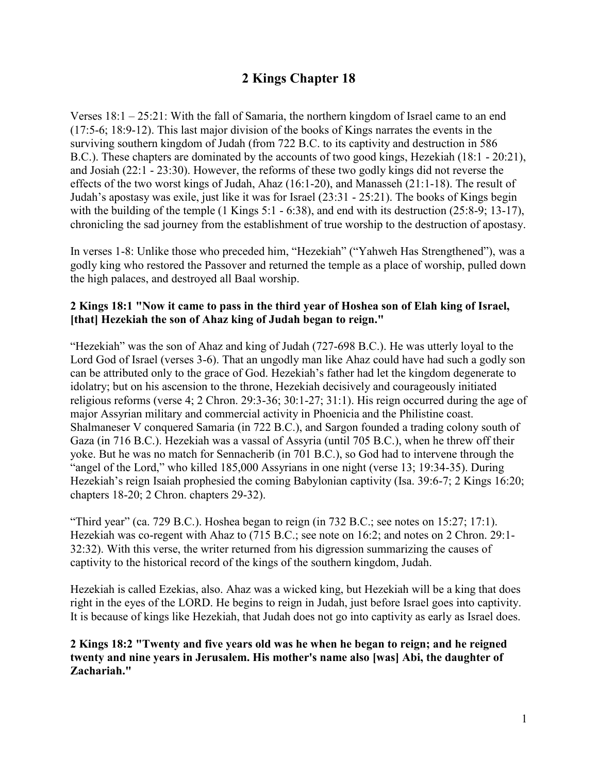# **2 Kings Chapter 18**

Verses  $18:1 - 25:21$ : With the fall of Samaria, the northern kingdom of Israel came to an end (17:5-6; 18:9-12). This last major division of the books of Kings narrates the events in the surviving southern kingdom of Judah (from 722 B.C. to its captivity and destruction in 586 B.C.). These chapters are dominated by the accounts of two good kings, Hezekiah (18:1 - 20:21), and Josiah (22:1 - 23:30). However, the reforms of these two godly kings did not reverse the effects of the two worst kings of Judah, Ahaz (16:1-20), and Manasseh (21:1-18). The result of Judah's apostasy was exile, just like it was for Israel (23:31 - 25:21). The books of Kings begin with the building of the temple  $(1 \text{ Kings } 5:1 - 6:38)$ , and end with its destruction  $(25:8-9:13-17)$ , chronicling the sad journey from the establishment of true worship to the destruction of apostasy.

In verses 1-8: Unlike those who preceded him, "Hezekiah" ("Yahweh Has Strengthened"), was a godly king who restored the Passover and returned the temple as a place of worship, pulled down the high palaces, and destroyed all Baal worship.

## **2 Kings 18:1 "Now it came to pass in the third year of Hoshea son of Elah king of Israel, [that] Hezekiah the son of Ahaz king of Judah began to reign."**

"Hezekiah" was the son of Ahaz and king of Judah (727-698 B.C.). He was utterly loyal to the Lord God of Israel (verses 3-6). That an ungodly man like Ahaz could have had such a godly son can be attributed only to the grace of God. Hezekiah's father had let the kingdom degenerate to idolatry; but on his ascension to the throne, Hezekiah decisively and courageously initiated religious reforms (verse 4; 2 Chron. 29:3-36; 30:1-27; 31:1). His reign occurred during the age of major Assyrian military and commercial activity in Phoenicia and the Philistine coast. Shalmaneser V conquered Samaria (in 722 B.C.), and Sargon founded a trading colony south of Gaza (in 716 B.C.). Hezekiah was a vassal of Assyria (until 705 B.C.), when he threw off their yoke. But he was no match for Sennacherib (in 701 B.C.), so God had to intervene through the "angel of the Lord," who killed 185,000 Assyrians in one night (verse 13; 19:34-35). During Hezekiah's reign Isaiah prophesied the coming Babylonian captivity (Isa. 39:6-7; 2 Kings 16:20; chapters 18-20; 2 Chron. chapters 29-32).

"Third year" (ca. 729 B.C.). Hoshea began to reign (in 732 B.C.; see notes on  $15:27$ ;  $17:1$ ). Hezekiah was co-regent with Ahaz to (715 B.C.; see note on 16:2; and notes on 2 Chron. 29:1-32:32). With this verse, the writer returned from his digression summarizing the causes of captivity to the historical record of the kings of the southern kingdom, Judah.

Hezekiah is called Ezekias, also. Ahaz was a wicked king, but Hezekiah will be a king that does right in the eyes of the LORD. He begins to reign in Judah, just before Israel goes into captivity. It is because of kings like Hezekiah, that Judah does not go into captivity as early as Israel does.

**2 Kings 18:2 "Twenty and five years old was he when he began to reign; and he reigned twenty and nine years in Jerusalem. His mother's name also [was] Abi, the daughter of Zachariah."**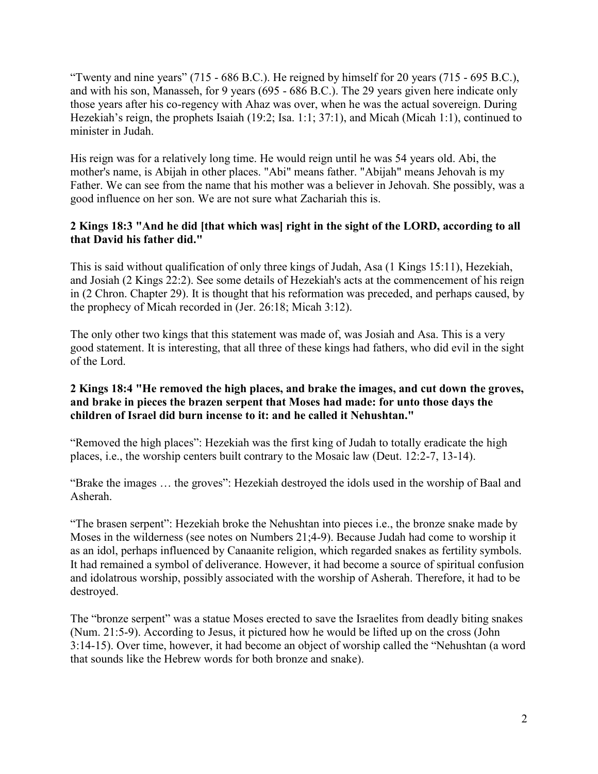"Twenty and nine years" (715 - 686 B.C.). He reigned by himself for 20 years (715 - 695 B.C.), and with his son, Manasseh, for 9 years (695 - 686 B.C.). The 29 years given here indicate only those years after his co-regency with Ahaz was over, when he was the actual sovereign. During Hezekiah's reign, the prophets Isaiah (19:2; Isa. 1:1; 37:1), and Micah (Micah 1:1), continued to minister in Judah.

His reign was for a relatively long time. He would reign until he was 54 years old. Abi, the mother's name, is Abijah in other places. "Abi" means father. "Abijah" means Jehovah is my Father. We can see from the name that his mother was a believer in Jehovah. She possibly, was a good influence on her son. We are not sure what Zachariah this is.

# **2 Kings 18:3 "And he did [that which was] right in the sight of the LORD, according to all that David his father did."**

This is said without qualification of only three kings of Judah, Asa (1 Kings 15:11), Hezekiah, and Josiah (2 Kings 22:2). See some details of Hezekiah's acts at the commencement of his reign in (2 Chron. Chapter 29). It is thought that his reformation was preceded, and perhaps caused, by the prophecy of Micah recorded in (Jer. 26:18; Micah 3:12).

The only other two kings that this statement was made of, was Josiah and Asa. This is a very good statement. It is interesting, that all three of these kings had fathers, who did evil in the sight of the Lord.

# **2 Kings 18:4 "He removed the high places, and brake the images, and cut down the groves, and brake in pieces the brazen serpent that Moses had made: for unto those days the children of Israel did burn incense to it: and he called it Nehushtan."**

"Removed the high places": Hezekiah was the first king of Judah to totally eradicate the high places, i.e., the worship centers built contrary to the Mosaic law (Deut. 12:2-7, 13-14).

"Brake the images … the groves": Hezekiah destroyed the idols used in the worship of Baal and Asherah.

"The brasen serpent": Hezekiah broke the Nehushtan into pieces i.e., the bronze snake made by Moses in the wilderness (see notes on Numbers 21;4-9). Because Judah had come to worship it as an idol, perhaps influenced by Canaanite religion, which regarded snakes as fertility symbols. It had remained a symbol of deliverance. However, it had become a source of spiritual confusion and idolatrous worship, possibly associated with the worship of Asherah. Therefore, it had to be destroyed.

The "bronze serpent" was a statue Moses erected to save the Israelites from deadly biting snakes (Num. 21:5-9). According to Jesus, it pictured how he would be lifted up on the cross (John 3:14-15). Over time, however, it had become an object of worship called the "Nehushtan (a word that sounds like the Hebrew words for both bronze and snake).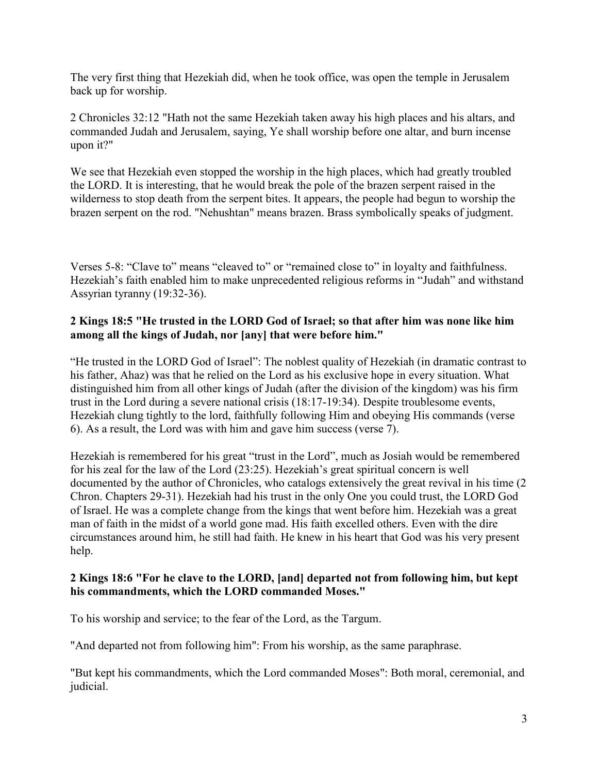The very first thing that Hezekiah did, when he took office, was open the temple in Jerusalem back up for worship.

2 Chronicles 32:12 "Hath not the same Hezekiah taken away his high places and his altars, and commanded Judah and Jerusalem, saying, Ye shall worship before one altar, and burn incense upon it?"

We see that Hezekiah even stopped the worship in the high places, which had greatly troubled the LORD. It is interesting, that he would break the pole of the brazen serpent raised in the wilderness to stop death from the serpent bites. It appears, the people had begun to worship the brazen serpent on the rod. "Nehushtan" means brazen. Brass symbolically speaks of judgment.

Verses 5-8: "Clave to" means "cleaved to" or "remained close to" in loyalty and faithfulness. Hezekiah's faith enabled him to make unprecedented religious reforms in "Judah" and withstand Assyrian tyranny (19:32-36).

## **2 Kings 18:5 "He trusted in the LORD God of Israel; so that after him was none like him among all the kings of Judah, nor [any] that were before him."**

"He trusted in the LORD God of Israel": The noblest quality of Hezekiah (in dramatic contrast to his father, Ahaz) was that he relied on the Lord as his exclusive hope in every situation. What distinguished him from all other kings of Judah (after the division of the kingdom) was his firm trust in the Lord during a severe national crisis (18:17-19:34). Despite troublesome events, Hezekiah clung tightly to the lord, faithfully following Him and obeying His commands (verse 6). As a result, the Lord was with him and gave him success (verse 7).

Hezekiah is remembered for his great "trust in the Lord", much as Josiah would be remembered for his zeal for the law of the Lord (23:25). Hezekiah's great spiritual concern is well documented by the author of Chronicles, who catalogs extensively the great revival in his time (2 Chron. Chapters 29-31). Hezekiah had his trust in the only One you could trust, the LORD God of Israel. He was a complete change from the kings that went before him. Hezekiah was a great man of faith in the midst of a world gone mad. His faith excelled others. Even with the dire circumstances around him, he still had faith. He knew in his heart that God was his very present help.

#### **2 Kings 18:6 "For he clave to the LORD, [and] departed not from following him, but kept his commandments, which the LORD commanded Moses."**

To his worship and service; to the fear of the Lord, as the Targum.

"And departed not from following him": From his worship, as the same paraphrase.

"But kept his commandments, which the Lord commanded Moses": Both moral, ceremonial, and judicial.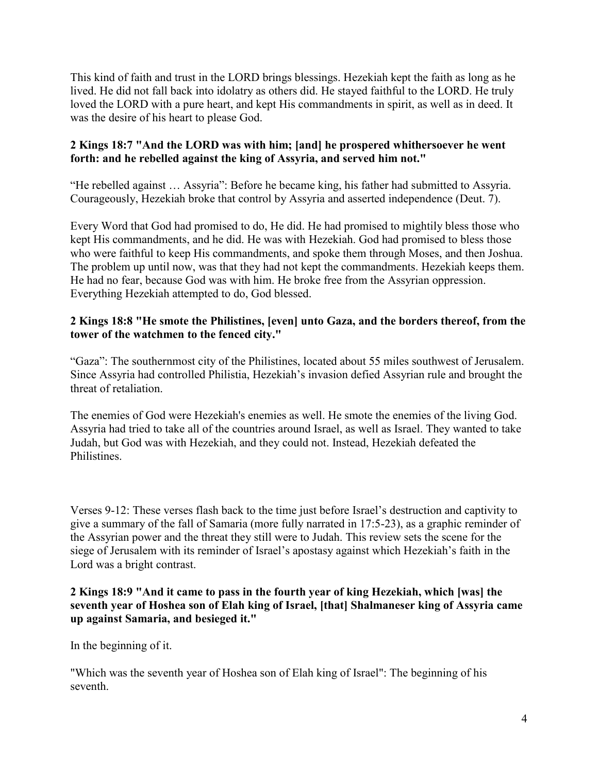This kind of faith and trust in the LORD brings blessings. Hezekiah kept the faith as long as he lived. He did not fall back into idolatry as others did. He stayed faithful to the LORD. He truly loved the LORD with a pure heart, and kept His commandments in spirit, as well as in deed. It was the desire of his heart to please God.

# **2 Kings 18:7 "And the LORD was with him; [and] he prospered whithersoever he went forth: and he rebelled against the king of Assyria, and served him not."**

"He rebelled against … Assyria": Before he became king, his father had submitted to Assyria. Courageously, Hezekiah broke that control by Assyria and asserted independence (Deut. 7).

Every Word that God had promised to do, He did. He had promised to mightily bless those who kept His commandments, and he did. He was with Hezekiah. God had promised to bless those who were faithful to keep His commandments, and spoke them through Moses, and then Joshua. The problem up until now, was that they had not kept the commandments. Hezekiah keeps them. He had no fear, because God was with him. He broke free from the Assyrian oppression. Everything Hezekiah attempted to do, God blessed.

# **2 Kings 18:8 "He smote the Philistines, [even] unto Gaza, and the borders thereof, from the tower of the watchmen to the fenced city."**

"Gaza": The southernmost city of the Philistines, located about 55 miles southwest of Jerusalem. Since Assyria had controlled Philistia, Hezekiah's invasion defied Assyrian rule and brought the threat of retaliation.

The enemies of God were Hezekiah's enemies as well. He smote the enemies of the living God. Assyria had tried to take all of the countries around Israel, as well as Israel. They wanted to take Judah, but God was with Hezekiah, and they could not. Instead, Hezekiah defeated the **Philistines** 

Verses 9-12: These verses flash back to the time just before Israel's destruction and captivity to give a summary of the fall of Samaria (more fully narrated in 17:5-23), as a graphic reminder of the Assyrian power and the threat they still were to Judah. This review sets the scene for the siege of Jerusalem with its reminder of Israel's apostasy against which Hezekiah's faith in the Lord was a bright contrast.

# **2 Kings 18:9 "And it came to pass in the fourth year of king Hezekiah, which [was] the seventh year of Hoshea son of Elah king of Israel, [that] Shalmaneser king of Assyria came up against Samaria, and besieged it."**

In the beginning of it.

"Which was the seventh year of Hoshea son of Elah king of Israel": The beginning of his seventh.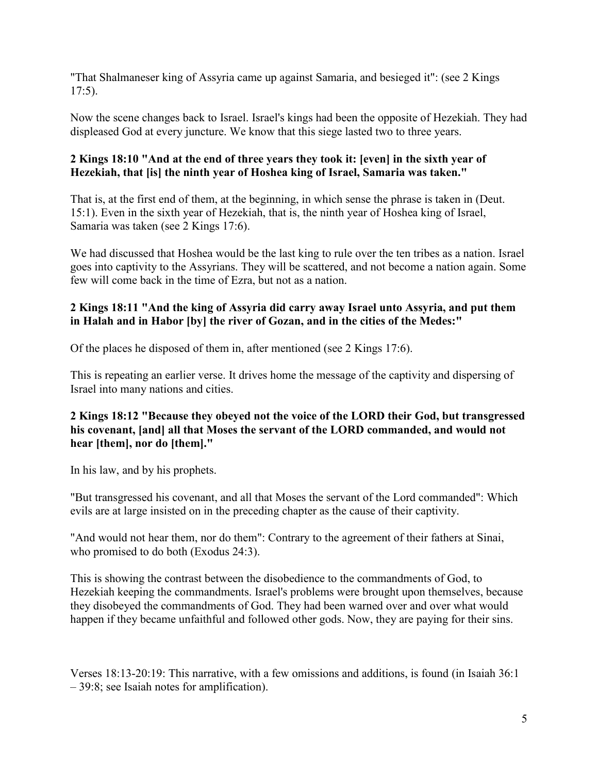"That Shalmaneser king of Assyria came up against Samaria, and besieged it": (see 2 Kings 17:5).

Now the scene changes back to Israel. Israel's kings had been the opposite of Hezekiah. They had displeased God at every juncture. We know that this siege lasted two to three years.

## **2 Kings 18:10 "And at the end of three years they took it: [even] in the sixth year of Hezekiah, that [is] the ninth year of Hoshea king of Israel, Samaria was taken."**

That is, at the first end of them, at the beginning, in which sense the phrase is taken in (Deut. 15:1). Even in the sixth year of Hezekiah, that is, the ninth year of Hoshea king of Israel, Samaria was taken (see 2 Kings 17:6).

We had discussed that Hoshea would be the last king to rule over the ten tribes as a nation. Israel goes into captivity to the Assyrians. They will be scattered, and not become a nation again. Some few will come back in the time of Ezra, but not as a nation.

## **2 Kings 18:11 "And the king of Assyria did carry away Israel unto Assyria, and put them in Halah and in Habor [by] the river of Gozan, and in the cities of the Medes:"**

Of the places he disposed of them in, after mentioned (see 2 Kings 17:6).

This is repeating an earlier verse. It drives home the message of the captivity and dispersing of Israel into many nations and cities.

#### **2 Kings 18:12 "Because they obeyed not the voice of the LORD their God, but transgressed his covenant, [and] all that Moses the servant of the LORD commanded, and would not hear [them], nor do [them]."**

In his law, and by his prophets.

"But transgressed his covenant, and all that Moses the servant of the Lord commanded": Which evils are at large insisted on in the preceding chapter as the cause of their captivity.

"And would not hear them, nor do them": Contrary to the agreement of their fathers at Sinai, who promised to do both (Exodus 24:3).

This is showing the contrast between the disobedience to the commandments of God, to Hezekiah keeping the commandments. Israel's problems were brought upon themselves, because they disobeyed the commandments of God. They had been warned over and over what would happen if they became unfaithful and followed other gods. Now, they are paying for their sins.

Verses 18:13-20:19: This narrative, with a few omissions and additions, is found (in Isaiah 36:1 – 39:8; see Isaiah notes for amplification).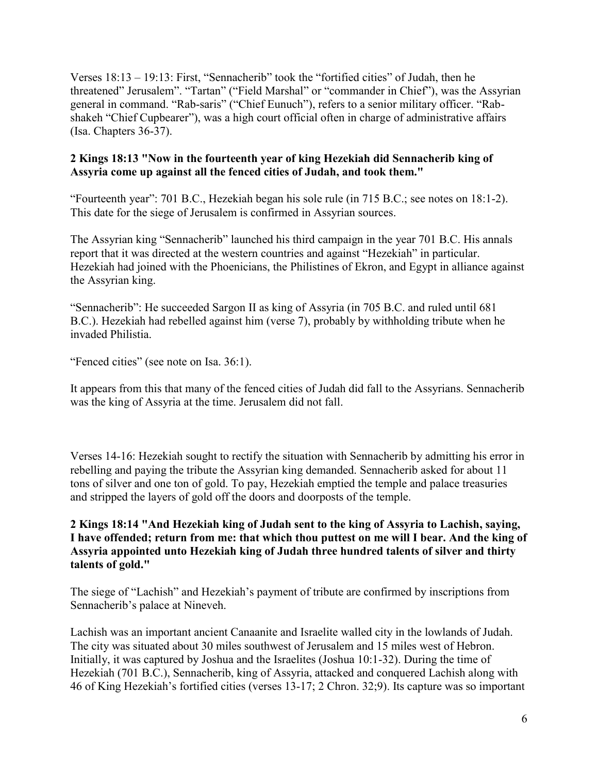Verses 18:13 – 19:13: First, "Sennacherib" took the "fortified cities" of Judah, then he threatened" Jerusalem". "Tartan" ("Field Marshal" or "commander in Chief"), was the Assyrian general in command. "Rab-saris" ("Chief Eunuch"), refers to a senior military officer. "Rabshakeh "Chief Cupbearer"), was a high court official often in charge of administrative affairs (Isa. Chapters 36-37).

## **2 Kings 18:13 "Now in the fourteenth year of king Hezekiah did Sennacherib king of Assyria come up against all the fenced cities of Judah, and took them."**

"Fourteenth year": 701 B.C., Hezekiah began his sole rule (in 715 B.C.; see notes on 18:1-2). This date for the siege of Jerusalem is confirmed in Assyrian sources.

The Assyrian king "Sennacherib" launched his third campaign in the year 701 B.C. His annals report that it was directed at the western countries and against "Hezekiah" in particular. Hezekiah had joined with the Phoenicians, the Philistines of Ekron, and Egypt in alliance against the Assyrian king.

"Sennacherib": He succeeded Sargon II as king of Assyria (in 705 B.C. and ruled until 681 B.C.). Hezekiah had rebelled against him (verse 7), probably by withholding tribute when he invaded Philistia.

"Fenced cities" (see note on Isa. 36:1).

It appears from this that many of the fenced cities of Judah did fall to the Assyrians. Sennacherib was the king of Assyria at the time. Jerusalem did not fall.

Verses 14-16: Hezekiah sought to rectify the situation with Sennacherib by admitting his error in rebelling and paying the tribute the Assyrian king demanded. Sennacherib asked for about 11 tons of silver and one ton of gold. To pay, Hezekiah emptied the temple and palace treasuries and stripped the layers of gold off the doors and doorposts of the temple.

# **2 Kings 18:14 "And Hezekiah king of Judah sent to the king of Assyria to Lachish, saying, I have offended; return from me: that which thou puttest on me will I bear. And the king of Assyria appointed unto Hezekiah king of Judah three hundred talents of silver and thirty talents of gold."**

The siege of "Lachish" and Hezekiah's payment of tribute are confirmed by inscriptions from Sennacherib's palace at Nineveh.

Lachish was an important ancient Canaanite and Israelite walled city in the lowlands of Judah. The city was situated about 30 miles southwest of Jerusalem and 15 miles west of Hebron. Initially, it was captured by Joshua and the Israelites (Joshua 10:1-32). During the time of Hezekiah (701 B.C.), Sennacherib, king of Assyria, attacked and conquered Lachish along with 46 of King Hezekiah's fortified cities (verses 13-17; 2 Chron. 32;9). Its capture was so important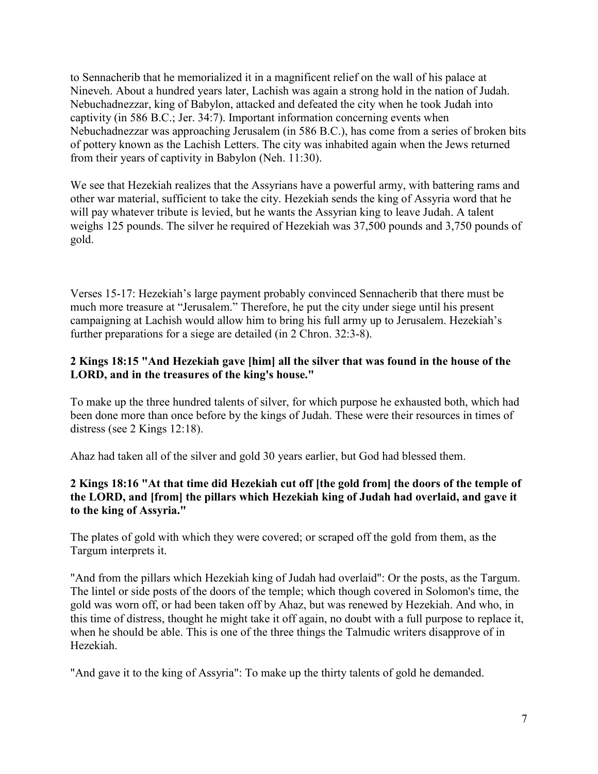to Sennacherib that he memorialized it in a magnificent relief on the wall of his palace at Nineveh. About a hundred years later, Lachish was again a strong hold in the nation of Judah. Nebuchadnezzar, king of Babylon, attacked and defeated the city when he took Judah into captivity (in 586 B.C.; Jer. 34:7). Important information concerning events when Nebuchadnezzar was approaching Jerusalem (in 586 B.C.), has come from a series of broken bits of pottery known as the Lachish Letters. The city was inhabited again when the Jews returned from their years of captivity in Babylon (Neh. 11:30).

We see that Hezekiah realizes that the Assyrians have a powerful army, with battering rams and other war material, sufficient to take the city. Hezekiah sends the king of Assyria word that he will pay whatever tribute is levied, but he wants the Assyrian king to leave Judah. A talent weighs 125 pounds. The silver he required of Hezekiah was 37,500 pounds and 3,750 pounds of gold.

Verses 15-17: Hezekiah's large payment probably convinced Sennacherib that there must be much more treasure at "Jerusalem." Therefore, he put the city under siege until his present campaigning at Lachish would allow him to bring his full army up to Jerusalem. Hezekiah's further preparations for a siege are detailed (in 2 Chron. 32:3-8).

# **2 Kings 18:15 "And Hezekiah gave [him] all the silver that was found in the house of the LORD, and in the treasures of the king's house."**

To make up the three hundred talents of silver, for which purpose he exhausted both, which had been done more than once before by the kings of Judah. These were their resources in times of distress (see 2 Kings 12:18).

Ahaz had taken all of the silver and gold 30 years earlier, but God had blessed them.

#### **2 Kings 18:16 "At that time did Hezekiah cut off [the gold from] the doors of the temple of the LORD, and [from] the pillars which Hezekiah king of Judah had overlaid, and gave it to the king of Assyria."**

The plates of gold with which they were covered; or scraped off the gold from them, as the Targum interprets it.

"And from the pillars which Hezekiah king of Judah had overlaid": Or the posts, as the Targum. The lintel or side posts of the doors of the temple; which though covered in Solomon's time, the gold was worn off, or had been taken off by Ahaz, but was renewed by Hezekiah. And who, in this time of distress, thought he might take it off again, no doubt with a full purpose to replace it, when he should be able. This is one of the three things the Talmudic writers disapprove of in Hezekiah.

"And gave it to the king of Assyria": To make up the thirty talents of gold he demanded.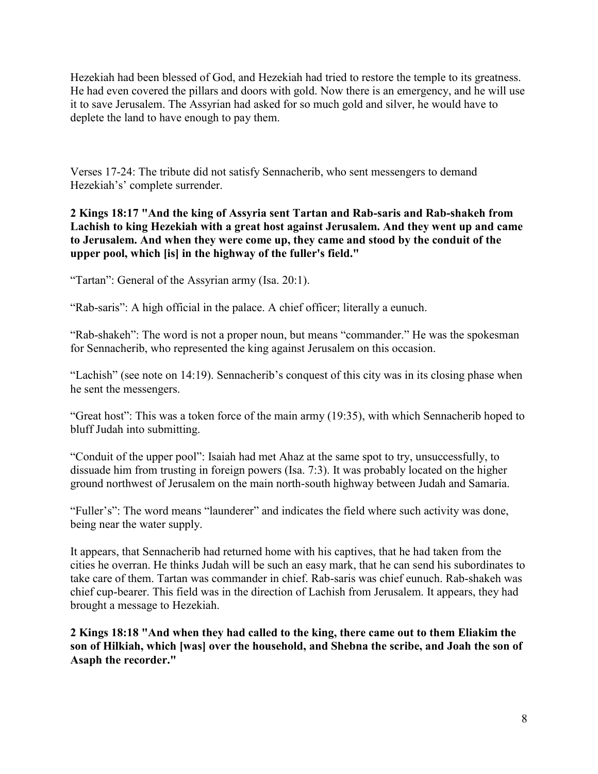Hezekiah had been blessed of God, and Hezekiah had tried to restore the temple to its greatness. He had even covered the pillars and doors with gold. Now there is an emergency, and he will use it to save Jerusalem. The Assyrian had asked for so much gold and silver, he would have to deplete the land to have enough to pay them.

Verses 17-24: The tribute did not satisfy Sennacherib, who sent messengers to demand Hezekiah's' complete surrender.

## **2 Kings 18:17 "And the king of Assyria sent Tartan and Rab-saris and Rab-shakeh from Lachish to king Hezekiah with a great host against Jerusalem. And they went up and came to Jerusalem. And when they were come up, they came and stood by the conduit of the upper pool, which [is] in the highway of the fuller's field."**

"Tartan": General of the Assyrian army (Isa. 20:1).

"Rab-saris": A high official in the palace. A chief officer; literally a eunuch.

"Rab-shakeh": The word is not a proper noun, but means "commander." He was the spokesman for Sennacherib, who represented the king against Jerusalem on this occasion.

"Lachish" (see note on 14:19). Sennacherib's conquest of this city was in its closing phase when he sent the messengers.

"Great host": This was a token force of the main army (19:35), with which Sennacherib hoped to bluff Judah into submitting.

"Conduit of the upper pool": Isaiah had met Ahaz at the same spot to try, unsuccessfully, to dissuade him from trusting in foreign powers (Isa. 7:3). It was probably located on the higher ground northwest of Jerusalem on the main north-south highway between Judah and Samaria.

"Fuller's": The word means "launderer" and indicates the field where such activity was done, being near the water supply.

It appears, that Sennacherib had returned home with his captives, that he had taken from the cities he overran. He thinks Judah will be such an easy mark, that he can send his subordinates to take care of them. Tartan was commander in chief. Rab-saris was chief eunuch. Rab-shakeh was chief cup-bearer. This field was in the direction of Lachish from Jerusalem. It appears, they had brought a message to Hezekiah.

**2 Kings 18:18 "And when they had called to the king, there came out to them Eliakim the son of Hilkiah, which [was] over the household, and Shebna the scribe, and Joah the son of Asaph the recorder."**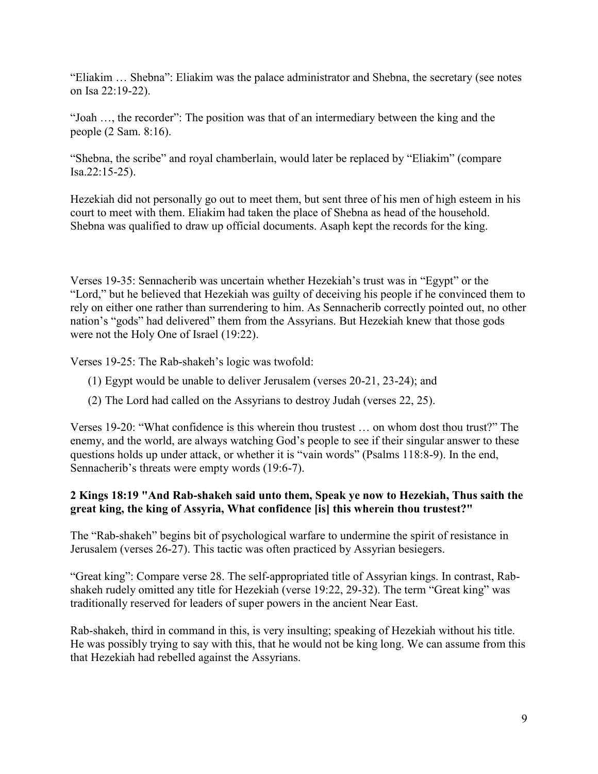"Eliakim … Shebna": Eliakim was the palace administrator and Shebna, the secretary (see notes on Isa 22:19-22).

"Joah …, the recorder": The position was that of an intermediary between the king and the people (2 Sam. 8:16).

"Shebna, the scribe" and royal chamberlain, would later be replaced by "Eliakim" (compare Isa.22:15-25).

Hezekiah did not personally go out to meet them, but sent three of his men of high esteem in his court to meet with them. Eliakim had taken the place of Shebna as head of the household. Shebna was qualified to draw up official documents. Asaph kept the records for the king.

Verses 19-35: Sennacherib was uncertain whether Hezekiah's trust was in "Egypt" or the "Lord," but he believed that Hezekiah was guilty of deceiving his people if he convinced them to rely on either one rather than surrendering to him. As Sennacherib correctly pointed out, no other nation's "gods" had delivered" them from the Assyrians. But Hezekiah knew that those gods were not the Holy One of Israel (19:22).

Verses 19-25: The Rab-shakeh's logic was twofold:

- (1) Egypt would be unable to deliver Jerusalem (verses 20-21, 23-24); and
- (2) The Lord had called on the Assyrians to destroy Judah (verses 22, 25).

Verses 19-20: "What confidence is this wherein thou trustest … on whom dost thou trust?" The enemy, and the world, are always watching God's people to see if their singular answer to these questions holds up under attack, or whether it is "vain words" (Psalms 118:8-9). In the end, Sennacherib's threats were empty words (19:6-7).

# **2 Kings 18:19 "And Rab-shakeh said unto them, Speak ye now to Hezekiah, Thus saith the great king, the king of Assyria, What confidence [is] this wherein thou trustest?"**

The "Rab-shakeh" begins bit of psychological warfare to undermine the spirit of resistance in Jerusalem (verses 26-27). This tactic was often practiced by Assyrian besiegers.

"Great king": Compare verse 28. The self-appropriated title of Assyrian kings. In contrast, Rabshakeh rudely omitted any title for Hezekiah (verse 19:22, 29-32). The term "Great king" was traditionally reserved for leaders of super powers in the ancient Near East.

Rab-shakeh, third in command in this, is very insulting; speaking of Hezekiah without his title. He was possibly trying to say with this, that he would not be king long. We can assume from this that Hezekiah had rebelled against the Assyrians.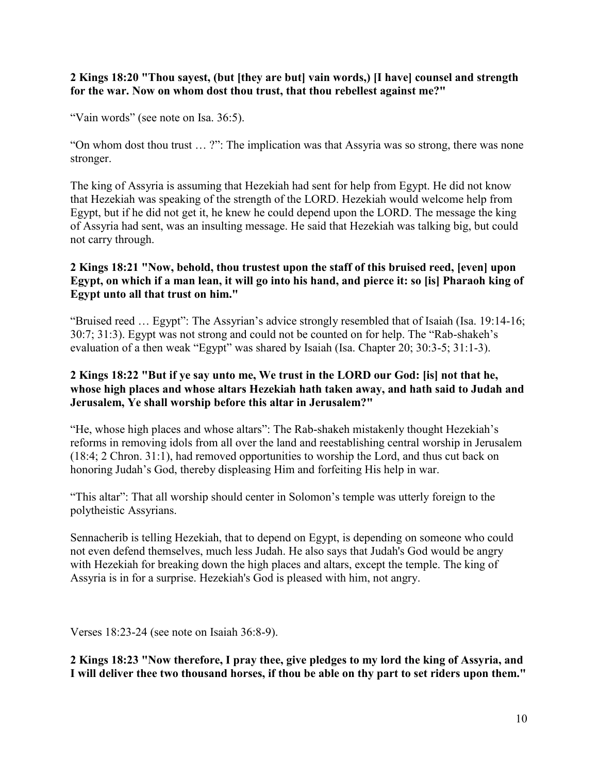#### **2 Kings 18:20 "Thou sayest, (but [they are but] vain words,) [I have] counsel and strength for the war. Now on whom dost thou trust, that thou rebellest against me?"**

"Vain words" (see note on Isa. 36:5).

"On whom dost thou trust … ?": The implication was that Assyria was so strong, there was none stronger.

The king of Assyria is assuming that Hezekiah had sent for help from Egypt. He did not know that Hezekiah was speaking of the strength of the LORD. Hezekiah would welcome help from Egypt, but if he did not get it, he knew he could depend upon the LORD. The message the king of Assyria had sent, was an insulting message. He said that Hezekiah was talking big, but could not carry through.

#### **2 Kings 18:21 "Now, behold, thou trustest upon the staff of this bruised reed, [even] upon Egypt, on which if a man lean, it will go into his hand, and pierce it: so [is] Pharaoh king of Egypt unto all that trust on him."**

"Bruised reed … Egypt": The Assyrian's advice strongly resembled that of Isaiah (Isa. 19:14-16; 30:7; 31:3). Egypt was not strong and could not be counted on for help. The "Rab-shakeh's evaluation of a then weak "Egypt" was shared by Isaiah (Isa. Chapter 20; 30:3-5; 31:1-3).

# **2 Kings 18:22 "But if ye say unto me, We trust in the LORD our God: [is] not that he, whose high places and whose altars Hezekiah hath taken away, and hath said to Judah and Jerusalem, Ye shall worship before this altar in Jerusalem?"**

"He, whose high places and whose altars": The Rab-shakeh mistakenly thought Hezekiah's reforms in removing idols from all over the land and reestablishing central worship in Jerusalem (18:4; 2 Chron. 31:1), had removed opportunities to worship the Lord, and thus cut back on honoring Judah's God, thereby displeasing Him and forfeiting His help in war.

"This altar": That all worship should center in Solomon's temple was utterly foreign to the polytheistic Assyrians.

Sennacherib is telling Hezekiah, that to depend on Egypt, is depending on someone who could not even defend themselves, much less Judah. He also says that Judah's God would be angry with Hezekiah for breaking down the high places and altars, except the temple. The king of Assyria is in for a surprise. Hezekiah's God is pleased with him, not angry.

Verses 18:23-24 (see note on Isaiah 36:8-9).

**2 Kings 18:23 "Now therefore, I pray thee, give pledges to my lord the king of Assyria, and I will deliver thee two thousand horses, if thou be able on thy part to set riders upon them."**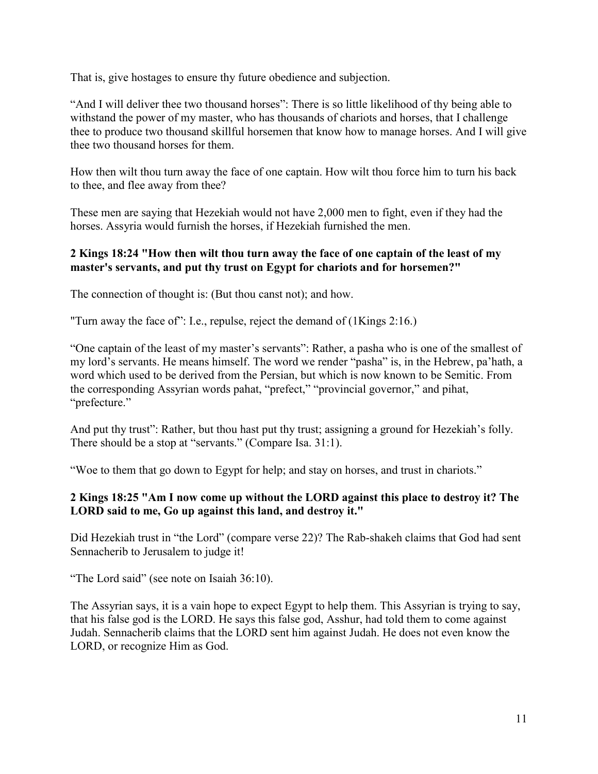That is, give hostages to ensure thy future obedience and subjection.

"And I will deliver thee two thousand horses": There is so little likelihood of thy being able to withstand the power of my master, who has thousands of chariots and horses, that I challenge thee to produce two thousand skillful horsemen that know how to manage horses. And I will give thee two thousand horses for them.

How then wilt thou turn away the face of one captain. How wilt thou force him to turn his back to thee, and flee away from thee?

These men are saying that Hezekiah would not have 2,000 men to fight, even if they had the horses. Assyria would furnish the horses, if Hezekiah furnished the men.

# **2 Kings 18:24 "How then wilt thou turn away the face of one captain of the least of my master's servants, and put thy trust on Egypt for chariots and for horsemen?"**

The connection of thought is: (But thou canst not); and how.

"Turn away the face of": I.e., repulse, reject the demand of (1Kings 2:16.)

"One captain of the least of my master's servants": Rather, a pasha who is one of the smallest of my lord's servants. He means himself. The word we render "pasha" is, in the Hebrew, pa'hath, a word which used to be derived from the Persian, but which is now known to be Semitic. From the corresponding Assyrian words pahat, "prefect," "provincial governor," and pihat, "prefecture."

And put thy trust": Rather, but thou hast put thy trust; assigning a ground for Hezekiah's folly. There should be a stop at "servants." (Compare Isa. 31:1).

"Woe to them that go down to Egypt for help; and stay on horses, and trust in chariots."

# **2 Kings 18:25 "Am I now come up without the LORD against this place to destroy it? The LORD said to me, Go up against this land, and destroy it."**

Did Hezekiah trust in "the Lord" (compare verse 22)? The Rab-shakeh claims that God had sent Sennacherib to Jerusalem to judge it!

"The Lord said" (see note on Isaiah 36:10).

The Assyrian says, it is a vain hope to expect Egypt to help them. This Assyrian is trying to say, that his false god is the LORD. He says this false god, Asshur, had told them to come against Judah. Sennacherib claims that the LORD sent him against Judah. He does not even know the LORD, or recognize Him as God.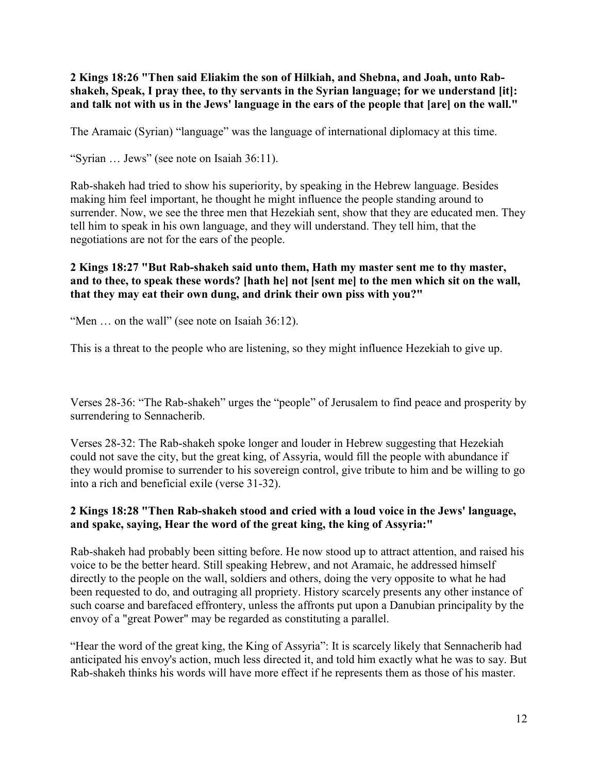**2 Kings 18:26 "Then said Eliakim the son of Hilkiah, and Shebna, and Joah, unto Rabshakeh, Speak, I pray thee, to thy servants in the Syrian language; for we understand [it]: and talk not with us in the Jews' language in the ears of the people that [are] on the wall."**

The Aramaic (Syrian) "language" was the language of international diplomacy at this time.

"Syrian … Jews" (see note on Isaiah 36:11).

Rab-shakeh had tried to show his superiority, by speaking in the Hebrew language. Besides making him feel important, he thought he might influence the people standing around to surrender. Now, we see the three men that Hezekiah sent, show that they are educated men. They tell him to speak in his own language, and they will understand. They tell him, that the negotiations are not for the ears of the people.

#### **2 Kings 18:27 "But Rab-shakeh said unto them, Hath my master sent me to thy master,**  and to thee, to speak these words? [hath he] not [sent me] to the men which sit on the wall, **that they may eat their own dung, and drink their own piss with you?"**

"Men ... on the wall" (see note on Isaiah 36:12).

This is a threat to the people who are listening, so they might influence Hezekiah to give up.

Verses 28-36: "The Rab-shakeh" urges the "people" of Jerusalem to find peace and prosperity by surrendering to Sennacherib.

Verses 28-32: The Rab-shakeh spoke longer and louder in Hebrew suggesting that Hezekiah could not save the city, but the great king, of Assyria, would fill the people with abundance if they would promise to surrender to his sovereign control, give tribute to him and be willing to go into a rich and beneficial exile (verse 31-32).

# **2 Kings 18:28 "Then Rab-shakeh stood and cried with a loud voice in the Jews' language, and spake, saying, Hear the word of the great king, the king of Assyria:"**

Rab-shakeh had probably been sitting before. He now stood up to attract attention, and raised his voice to be the better heard. Still speaking Hebrew, and not Aramaic, he addressed himself directly to the people on the wall, soldiers and others, doing the very opposite to what he had been requested to do, and outraging all propriety. History scarcely presents any other instance of such coarse and barefaced effrontery, unless the affronts put upon a Danubian principality by the envoy of a "great Power" may be regarded as constituting a parallel.

"Hear the word of the great king, the King of Assyria": It is scarcely likely that Sennacherib had anticipated his envoy's action, much less directed it, and told him exactly what he was to say. But Rab-shakeh thinks his words will have more effect if he represents them as those of his master.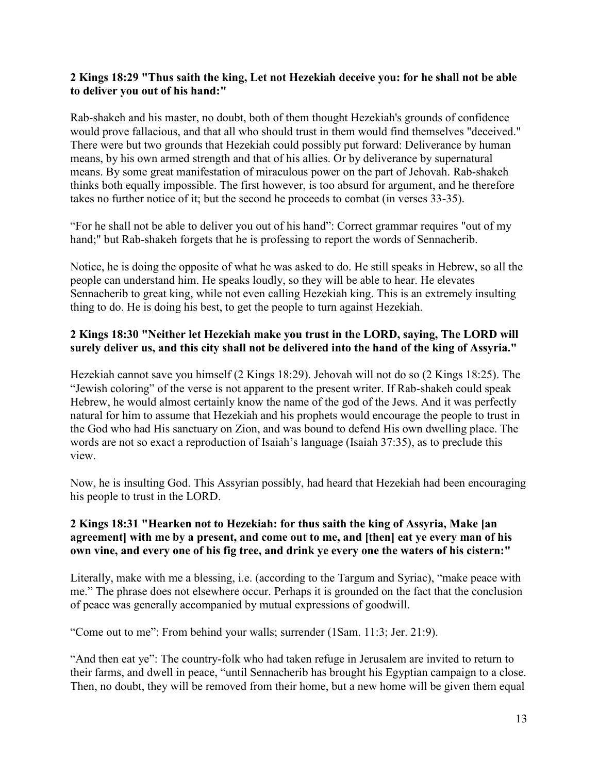#### **2 Kings 18:29 "Thus saith the king, Let not Hezekiah deceive you: for he shall not be able to deliver you out of his hand:"**

Rab-shakeh and his master, no doubt, both of them thought Hezekiah's grounds of confidence would prove fallacious, and that all who should trust in them would find themselves "deceived." There were but two grounds that Hezekiah could possibly put forward: Deliverance by human means, by his own armed strength and that of his allies. Or by deliverance by supernatural means. By some great manifestation of miraculous power on the part of Jehovah. Rab-shakeh thinks both equally impossible. The first however, is too absurd for argument, and he therefore takes no further notice of it; but the second he proceeds to combat (in verses 33-35).

"For he shall not be able to deliver you out of his hand": Correct grammar requires "out of my hand;" but Rab-shakeh forgets that he is professing to report the words of Sennacherib.

Notice, he is doing the opposite of what he was asked to do. He still speaks in Hebrew, so all the people can understand him. He speaks loudly, so they will be able to hear. He elevates Sennacherib to great king, while not even calling Hezekiah king. This is an extremely insulting thing to do. He is doing his best, to get the people to turn against Hezekiah.

# **2 Kings 18:30 "Neither let Hezekiah make you trust in the LORD, saying, The LORD will surely deliver us, and this city shall not be delivered into the hand of the king of Assyria."**

Hezekiah cannot save you himself (2 Kings 18:29). Jehovah will not do so (2 Kings 18:25). The "Jewish coloring" of the verse is not apparent to the present writer. If Rab-shakeh could speak Hebrew, he would almost certainly know the name of the god of the Jews. And it was perfectly natural for him to assume that Hezekiah and his prophets would encourage the people to trust in the God who had His sanctuary on Zion, and was bound to defend His own dwelling place. The words are not so exact a reproduction of Isaiah's language (Isaiah 37:35), as to preclude this view.

Now, he is insulting God. This Assyrian possibly, had heard that Hezekiah had been encouraging his people to trust in the LORD.

# **2 Kings 18:31 "Hearken not to Hezekiah: for thus saith the king of Assyria, Make [an agreement] with me by a present, and come out to me, and [then] eat ye every man of his own vine, and every one of his fig tree, and drink ye every one the waters of his cistern:"**

Literally, make with me a blessing, i.e. (according to the Targum and Syriac), "make peace with me." The phrase does not elsewhere occur. Perhaps it is grounded on the fact that the conclusion of peace was generally accompanied by mutual expressions of goodwill.

"Come out to me": From behind your walls; surrender (1Sam. 11:3; Jer. 21:9).

"And then eat ye": The country-folk who had taken refuge in Jerusalem are invited to return to their farms, and dwell in peace, "until Sennacherib has brought his Egyptian campaign to a close. Then, no doubt, they will be removed from their home, but a new home will be given them equal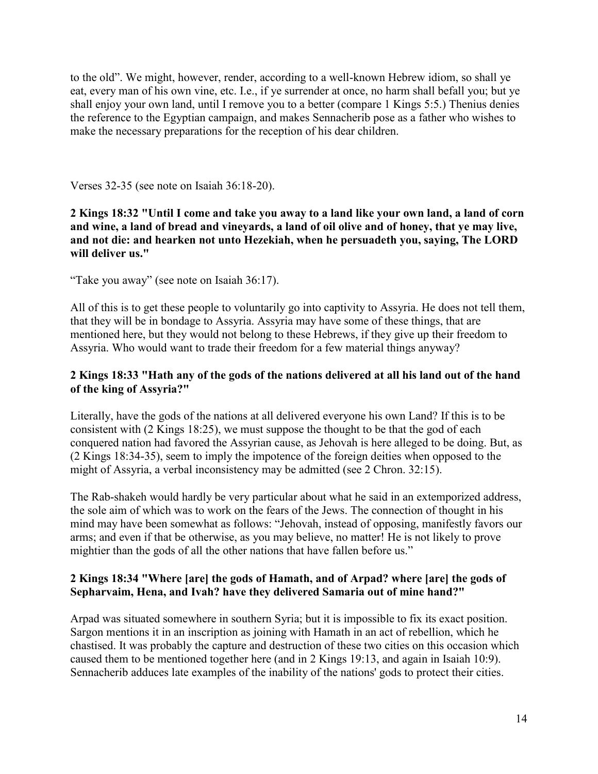to the old". We might, however, render, according to a well-known Hebrew idiom, so shall ye eat, every man of his own vine, etc. I.e., if ye surrender at once, no harm shall befall you; but ye shall enjoy your own land, until I remove you to a better (compare 1 Kings 5:5.) Thenius denies the reference to the Egyptian campaign, and makes Sennacherib pose as a father who wishes to make the necessary preparations for the reception of his dear children.

Verses 32-35 (see note on Isaiah 36:18-20).

# **2 Kings 18:32 "Until I come and take you away to a land like your own land, a land of corn and wine, a land of bread and vineyards, a land of oil olive and of honey, that ye may live, and not die: and hearken not unto Hezekiah, when he persuadeth you, saying, The LORD will deliver us."**

"Take you away" (see note on Isaiah 36:17).

All of this is to get these people to voluntarily go into captivity to Assyria. He does not tell them, that they will be in bondage to Assyria. Assyria may have some of these things, that are mentioned here, but they would not belong to these Hebrews, if they give up their freedom to Assyria. Who would want to trade their freedom for a few material things anyway?

# **2 Kings 18:33 "Hath any of the gods of the nations delivered at all his land out of the hand of the king of Assyria?"**

Literally, have the gods of the nations at all delivered everyone his own Land? If this is to be consistent with (2 Kings 18:25), we must suppose the thought to be that the god of each conquered nation had favored the Assyrian cause, as Jehovah is here alleged to be doing. But, as (2 Kings 18:34-35), seem to imply the impotence of the foreign deities when opposed to the might of Assyria, a verbal inconsistency may be admitted (see 2 Chron. 32:15).

The Rab-shakeh would hardly be very particular about what he said in an extemporized address, the sole aim of which was to work on the fears of the Jews. The connection of thought in his mind may have been somewhat as follows: "Jehovah, instead of opposing, manifestly favors our arms; and even if that be otherwise, as you may believe, no matter! He is not likely to prove mightier than the gods of all the other nations that have fallen before us."

# **2 Kings 18:34 "Where [are] the gods of Hamath, and of Arpad? where [are] the gods of Sepharvaim, Hena, and Ivah? have they delivered Samaria out of mine hand?"**

Arpad was situated somewhere in southern Syria; but it is impossible to fix its exact position. Sargon mentions it in an inscription as joining with Hamath in an act of rebellion, which he chastised. It was probably the capture and destruction of these two cities on this occasion which caused them to be mentioned together here (and in 2 Kings 19:13, and again in Isaiah 10:9). Sennacherib adduces late examples of the inability of the nations' gods to protect their cities.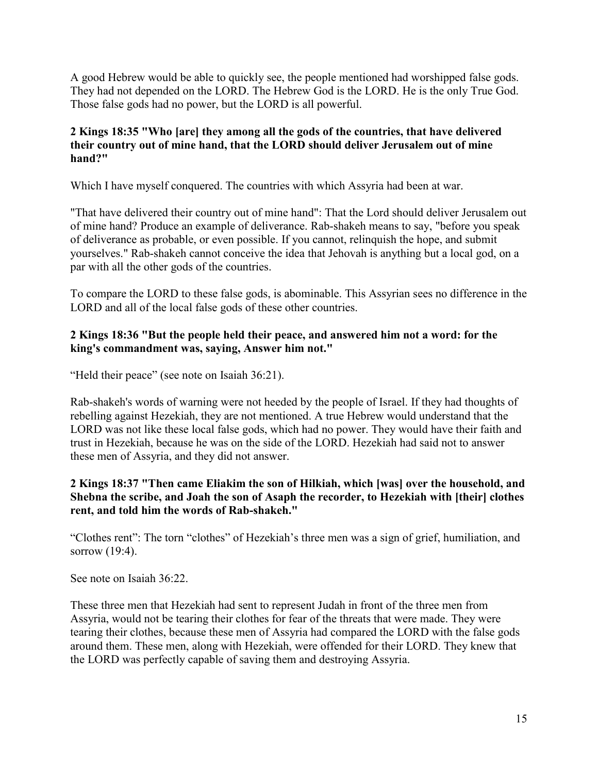A good Hebrew would be able to quickly see, the people mentioned had worshipped false gods. They had not depended on the LORD. The Hebrew God is the LORD. He is the only True God. Those false gods had no power, but the LORD is all powerful.

# **2 Kings 18:35 "Who [are] they among all the gods of the countries, that have delivered their country out of mine hand, that the LORD should deliver Jerusalem out of mine hand?"**

Which I have myself conquered. The countries with which Assyria had been at war.

"That have delivered their country out of mine hand": That the Lord should deliver Jerusalem out of mine hand? Produce an example of deliverance. Rab-shakeh means to say, "before you speak of deliverance as probable, or even possible. If you cannot, relinquish the hope, and submit yourselves." Rab-shakeh cannot conceive the idea that Jehovah is anything but a local god, on a par with all the other gods of the countries.

To compare the LORD to these false gods, is abominable. This Assyrian sees no difference in the LORD and all of the local false gods of these other countries.

# **2 Kings 18:36 "But the people held their peace, and answered him not a word: for the king's commandment was, saying, Answer him not."**

"Held their peace" (see note on Isaiah 36:21).

Rab-shakeh's words of warning were not heeded by the people of Israel. If they had thoughts of rebelling against Hezekiah, they are not mentioned. A true Hebrew would understand that the LORD was not like these local false gods, which had no power. They would have their faith and trust in Hezekiah, because he was on the side of the LORD. Hezekiah had said not to answer these men of Assyria, and they did not answer.

# **2 Kings 18:37 "Then came Eliakim the son of Hilkiah, which [was] over the household, and Shebna the scribe, and Joah the son of Asaph the recorder, to Hezekiah with [their] clothes rent, and told him the words of Rab-shakeh."**

"Clothes rent": The torn "clothes" of Hezekiah's three men was a sign of grief, humiliation, and sorrow (19:4).

See note on Isaiah 36:22.

These three men that Hezekiah had sent to represent Judah in front of the three men from Assyria, would not be tearing their clothes for fear of the threats that were made. They were tearing their clothes, because these men of Assyria had compared the LORD with the false gods around them. These men, along with Hezekiah, were offended for their LORD. They knew that the LORD was perfectly capable of saving them and destroying Assyria.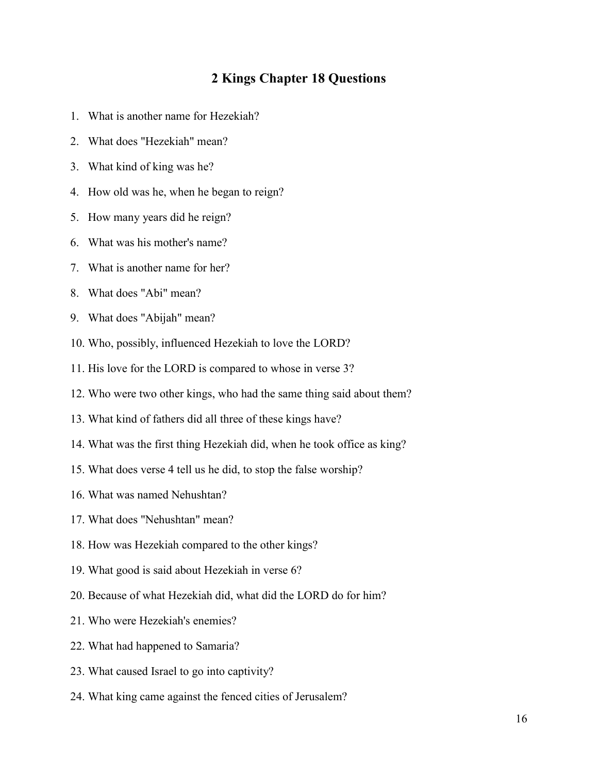# **2 Kings Chapter 18 Questions**

- 1. What is another name for Hezekiah?
- 2. What does "Hezekiah" mean?
- 3. What kind of king was he?
- 4. How old was he, when he began to reign?
- 5. How many years did he reign?
- 6. What was his mother's name?
- 7. What is another name for her?
- 8. What does "Abi" mean?
- 9. What does "Abijah" mean?
- 10. Who, possibly, influenced Hezekiah to love the LORD?
- 11. His love for the LORD is compared to whose in verse 3?
- 12. Who were two other kings, who had the same thing said about them?
- 13. What kind of fathers did all three of these kings have?
- 14. What was the first thing Hezekiah did, when he took office as king?
- 15. What does verse 4 tell us he did, to stop the false worship?
- 16. What was named Nehushtan?
- 17. What does "Nehushtan" mean?
- 18. How was Hezekiah compared to the other kings?
- 19. What good is said about Hezekiah in verse 6?
- 20. Because of what Hezekiah did, what did the LORD do for him?
- 21. Who were Hezekiah's enemies?
- 22. What had happened to Samaria?
- 23. What caused Israel to go into captivity?
- 24. What king came against the fenced cities of Jerusalem?